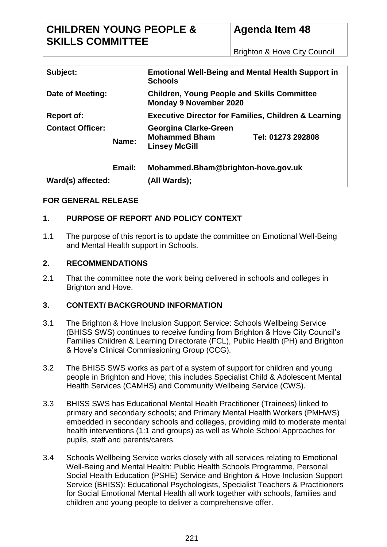Brighton & Hove City Council

| Subject:                |        | <b>Emotional Well-Being and Mental Health Support in</b><br><b>Schools</b>          |                   |  |
|-------------------------|--------|-------------------------------------------------------------------------------------|-------------------|--|
| Date of Meeting:        |        | <b>Children, Young People and Skills Committee</b><br><b>Monday 9 November 2020</b> |                   |  |
| <b>Report of:</b>       |        | <b>Executive Director for Families, Children &amp; Learning</b>                     |                   |  |
| <b>Contact Officer:</b> | Name:  | Georgina Clarke-Green<br><b>Mohammed Bham</b><br><b>Linsey McGill</b>               | Tel: 01273 292808 |  |
|                         | Email: | Mohammed.Bham@brighton-hove.gov.uk                                                  |                   |  |
| Ward(s) affected:       |        | (All Wards);                                                                        |                   |  |

# **FOR GENERAL RELEASE**

# **1. PURPOSE OF REPORT AND POLICY CONTEXT**

1.1 The purpose of this report is to update the committee on Emotional Well-Being and Mental Health support in Schools.

# **2. RECOMMENDATIONS**

2.1 That the committee note the work being delivered in schools and colleges in Brighton and Hove.

# **3. CONTEXT/ BACKGROUND INFORMATION**

- 3.1 The Brighton & Hove Inclusion Support Service: Schools Wellbeing Service (BHISS SWS) continues to receive funding from Brighton & Hove City Council's Families Children & Learning Directorate (FCL), Public Health (PH) and Brighton & Hove's Clinical Commissioning Group (CCG).
- 3.2 The BHISS SWS works as part of a system of support for children and young people in Brighton and Hove; this includes Specialist Child & Adolescent Mental Health Services (CAMHS) and Community Wellbeing Service (CWS).
- 3.3 BHISS SWS has Educational Mental Health Practitioner (Trainees) linked to primary and secondary schools; and Primary Mental Health Workers (PMHWS) embedded in secondary schools and colleges, providing mild to moderate mental health interventions (1:1 and groups) as well as Whole School Approaches for pupils, staff and parents/carers.
- 3.4 Schools Wellbeing Service works closely with all services relating to Emotional Well-Being and Mental Health: Public Health Schools Programme, Personal Social Health Education (PSHE) Service and Brighton & Hove Inclusion Support Service (BHISS): Educational Psychologists, Specialist Teachers & Practitioners for Social Emotional Mental Health all work together with schools, families and children and young people to deliver a comprehensive offer.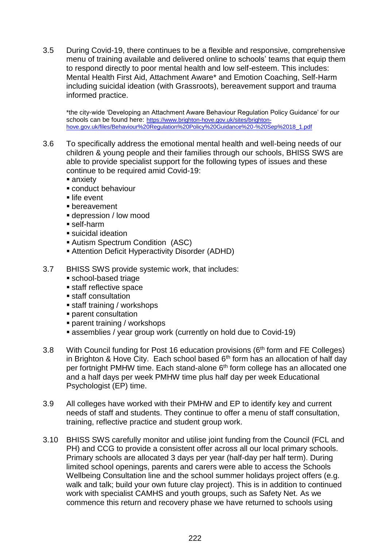3.5 During Covid-19, there continues to be a flexible and responsive, comprehensive menu of training available and delivered online to schools' teams that equip them to respond directly to poor mental health and low self-esteem. This includes: Mental Health First Aid, Attachment Aware\* and Emotion Coaching, Self-Harm including suicidal ideation (with Grassroots), bereavement support and trauma informed practice.

\*the city-wide 'Developing an Attachment Aware Behaviour Regulation Policy Guidance' for our schools can be found here: [https://www.brighton-hove.gov.uk/sites/brighton](https://www.brighton-hove.gov.uk/sites/brighton-hove.gov.uk/files/Behaviour%20Regulation%20Policy%20Guidance%20-%20Sep%2018_1.pdf)[hove.gov.uk/files/Behaviour%20Regulation%20Policy%20Guidance%20-%20Sep%2018\\_1.pdf](https://www.brighton-hove.gov.uk/sites/brighton-hove.gov.uk/files/Behaviour%20Regulation%20Policy%20Guidance%20-%20Sep%2018_1.pdf)

3.6 To specifically address the emotional mental health and well-being needs of our children & young people and their families through our schools, BHISS SWS are able to provide specialist support for the following types of issues and these continue to be required amid Covid-19:

anxiety

- conduct behaviour
- life event
- bereavement
- depression / low mood
- self-harm
- suicidal ideation
- Autism Spectrum Condition (ASC)
- Attention Deficit Hyperactivity Disorder (ADHD)
- 3.7 BHISS SWS provide systemic work, that includes:
	- school-based triage
	- **staff reflective space**
	- **staff consultation**
	- staff training / workshops
	- parent consultation
	- parent training / workshops
	- assemblies / year group work (currently on hold due to Covid-19)
- 3.8 With Council funding for Post 16 education provisions (6<sup>th</sup> form and FE Colleges) in Brighton & Hove City. Each school based  $6<sup>th</sup>$  form has an allocation of half day per fortnight PMHW time. Each stand-alone 6<sup>th</sup> form college has an allocated one and a half days per week PMHW time plus half day per week Educational Psychologist (EP) time.
- 3.9 All colleges have worked with their PMHW and EP to identify key and current needs of staff and students. They continue to offer a menu of staff consultation, training, reflective practice and student group work.
- 3.10 BHISS SWS carefully monitor and utilise joint funding from the Council (FCL and PH) and CCG to provide a consistent offer across all our local primary schools. Primary schools are allocated 3 days per year (half-day per half term). During limited school openings, parents and carers were able to access the Schools Wellbeing Consultation line and the school summer holidays project offers (e.g. walk and talk; build your own future clay project). This is in addition to continued work with specialist CAMHS and youth groups, such as Safety Net. As we commence this return and recovery phase we have returned to schools using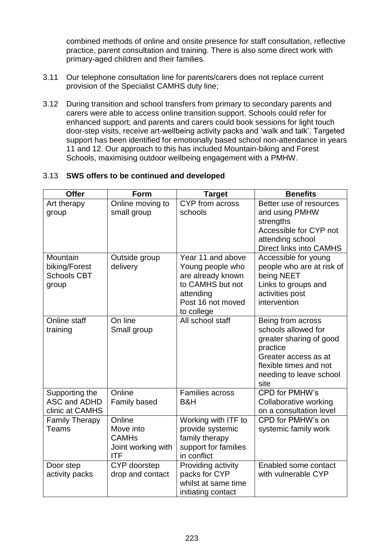combined methods of online and onsite presence for staff consultation, reflective practice, parent consultation and training. There is also some direct work with primary-aged children and their families.

- 3.11 Our telephone consultation line for parents/carers does not replace current provision of the Specialist CAMHS duty line;
- 3.12 During transition and school transfers from primary to secondary parents and carers were able to access online transition support. Schools could refer for enhanced support; and parents and carers could book sessions for light touch door-step visits, receive art-wellbeing activity packs and 'walk and talk'. Targeted support has been identified for emotionally based school non-attendance in years 11 and 12. Our approach to this has included Mountain-biking and Forest Schools, maximising outdoor wellbeing engagement with a PMHW.

### 3.13 **SWS offers to be continued and developed**

| <b>Offer</b>                                             | Form                                                                    | <b>Target</b>                                                                                                                  | <b>Benefits</b>                                                                                                                                                      |
|----------------------------------------------------------|-------------------------------------------------------------------------|--------------------------------------------------------------------------------------------------------------------------------|----------------------------------------------------------------------------------------------------------------------------------------------------------------------|
| Art therapy<br>group                                     | Online moving to<br>small group                                         | CYP from across<br>schools                                                                                                     | Better use of resources<br>and using PMHW<br>strengths<br>Accessible for CYP not<br>attending school<br>Direct links into CAMHS                                      |
| Mountain<br>biking/Forest<br><b>Schools CBT</b><br>group | Outside group<br>delivery                                               | Year 11 and above<br>Young people who<br>are already known<br>to CAMHS but not<br>attending<br>Post 16 not moved<br>to college | Accessible for young<br>people who are at risk of<br>being NEET<br>Links to groups and<br>activities post<br>intervention                                            |
| Online staff<br>training                                 | On line<br>Small group                                                  | All school staff                                                                                                               | Being from across<br>schools allowed for<br>greater sharing of good<br>practice<br>Greater access as at<br>flexible times and not<br>needing to leave school<br>site |
| Supporting the<br>ASC and ADHD<br>clinic at CAMHS        | Online<br><b>Family based</b>                                           | <b>Families across</b><br>B&H                                                                                                  | CPD for PMHW's<br>Collaborative working<br>on a consultation level                                                                                                   |
| <b>Family Therapy</b><br>Teams                           | Online<br>Move into<br><b>CAMHs</b><br>Joint working with<br><b>ITF</b> | Working with ITF to<br>provide systemic<br>family therapy<br>support for families<br>in conflict                               | CPD for PMHW's on<br>systemic family work                                                                                                                            |
| Door step<br>activity packs                              | CYP doorstep<br>drop and contact                                        | Providing activity<br>packs for CYP<br>whilst at same time<br>initiating contact                                               | Enabled some contact<br>with vulnerable CYP                                                                                                                          |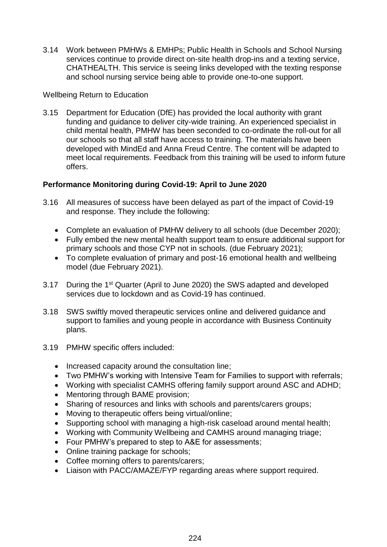3.14 Work between PMHWs & EMHPs; Public Health in Schools and School Nursing services continue to provide direct on-site health drop-ins and a texting service, CHATHEALTH. This service is seeing links developed with the texting response and school nursing service being able to provide one-to-one support.

### Wellbeing Return to Education

3.15 Department for Education (DfE) has provided the local authority with grant funding and guidance to deliver city-wide training. An experienced specialist in child mental health, PMHW has been seconded to co-ordinate the roll-out for all our schools so that all staff have access to training. The materials have been developed with MindEd and Anna Freud Centre. The content will be adapted to meet local requirements. Feedback from this training will be used to inform future offers.

# **Performance Monitoring during Covid-19: April to June 2020**

- 3.16 All measures of success have been delayed as part of the impact of Covid-19 and response. They include the following:
	- Complete an evaluation of PMHW delivery to all schools (due December 2020);
	- Fully embed the new mental health support team to ensure additional support for primary schools and those CYP not in schools. (due February 2021);
	- To complete evaluation of primary and post-16 emotional health and wellbeing model (due February 2021).
- 3.17 During the 1st Quarter (April to June 2020) the SWS adapted and developed services due to lockdown and as Covid-19 has continued.
- 3.18 SWS swiftly moved therapeutic services online and delivered guidance and support to families and young people in accordance with Business Continuity plans.
- 3.19 PMHW specific offers included:
	- Increased capacity around the consultation line;
	- Two PMHW's working with Intensive Team for Families to support with referrals;
	- Working with specialist CAMHS offering family support around ASC and ADHD;
	- Mentoring through BAME provision;
	- Sharing of resources and links with schools and parents/carers groups;
	- Moving to therapeutic offers being virtual/online;
	- Supporting school with managing a high-risk caseload around mental health;
	- Working with Community Wellbeing and CAMHS around managing triage;
	- Four PMHW's prepared to step to A&E for assessments;
	- Online training package for schools;
	- Coffee morning offers to parents/carers;
	- Liaison with PACC/AMAZE/FYP regarding areas where support required.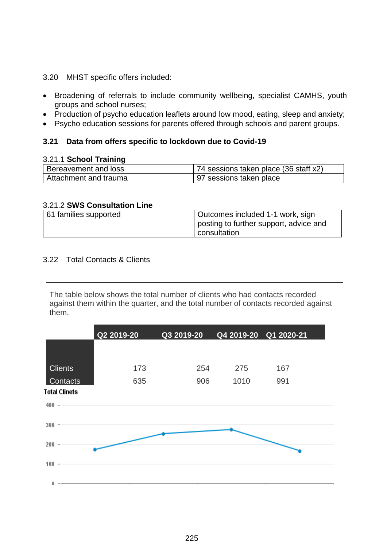- 3.20 MHST specific offers included:
- Broadening of referrals to include community wellbeing, specialist CAMHS, youth groups and school nurses;
- Production of psycho education leaflets around low mood, eating, sleep and anxiety;
- Psycho education sessions for parents offered through schools and parent groups.

### **3.21 Data from offers specific to lockdown due to Covid-19**

#### 3.21.1 **School Training**

| Bereavement and loss  | 74 sessions taken place (36 staff x2) |
|-----------------------|---------------------------------------|
| Attachment and trauma | 97 sessions taken place               |

#### 3.21.2 **SWS Consultation Line**

| 61 families supported | Outcomes included 1-1 work, sign       |
|-----------------------|----------------------------------------|
|                       | posting to further support, advice and |
|                       | consultation                           |

#### 3.22 Total Contacts & Clients

The table below shows the total number of clients who had contacts recorded against them within the quarter, and the total number of contacts recorded against them.

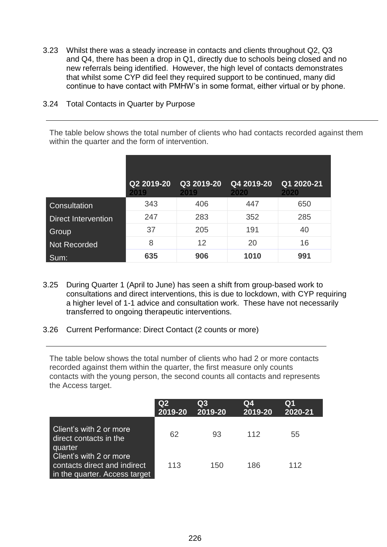3.23 Whilst there was a steady increase in contacts and clients throughout Q2, Q3 and Q4, there has been a drop in Q1, directly due to schools being closed and no new referrals being identified. However, the high level of contacts demonstrates that whilst some CYP did feel they required support to be continued, many did continue to have contact with PMHW's in some format, either virtual or by phone.

### 3.24 Total Contacts in Quarter by Purpose

The table below shows the total number of clients who had contacts recorded against them within the quarter and the form of intervention.

|                            | Q2 2019-20<br>2019 | Q3 2019-20<br>2019 | Q4 2019-20<br>2020 | Q1 2020-21<br>2020 |
|----------------------------|--------------------|--------------------|--------------------|--------------------|
| Consultation               | 343                | 406                | 447                | 650                |
| <b>Direct Intervention</b> | 247                | 283                | 352                | 285                |
| <b>Group</b>               | 37                 | 205                | 191                | 40                 |
| <b>Not Recorded</b>        | 8                  | 12                 | 20                 | 16                 |
| Sum:                       | 635                | 906                | 1010               | 991                |

- 3.25 During Quarter 1 (April to June) has seen a shift from group-based work to consultations and direct interventions, this is due to lockdown, with CYP requiring a higher level of 1-1 advice and consultation work. These have not necessarily transferred to ongoing therapeutic interventions.
- 3.26 Current Performance: Direct Contact (2 counts or more)

The table below shows the total number of clients who had 2 or more contacts recorded against them within the quarter, the first measure only counts contacts with the young person, the second counts all contacts and represents the Access target.

|                                                                                          | Q2<br>2019-20 | Q3<br>2019-20 | Q4<br>2019-20 | Q1<br>2020-21 |
|------------------------------------------------------------------------------------------|---------------|---------------|---------------|---------------|
| Client's with 2 or more<br>direct contacts in the<br>quarter                             | 62            | 93            | 112           | 55            |
| Client's with 2 or more<br>contacts direct and indirect<br>in the quarter. Access target | 113           | 150           | 186           | 112           |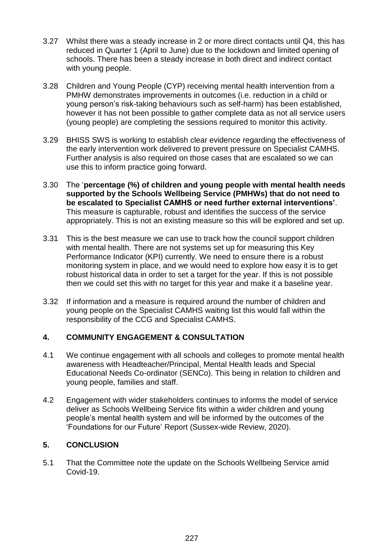- 3.27 Whilst there was a steady increase in 2 or more direct contacts until Q4, this has reduced in Quarter 1 (April to June) due to the lockdown and limited opening of schools. There has been a steady increase in both direct and indirect contact with young people.
- 3.28 Children and Young People (CYP) receiving mental health intervention from a PMHW demonstrates improvements in outcomes (i.e. reduction in a child or young person's risk-taking behaviours such as self-harm) has been established, however it has not been possible to gather complete data as not all service users (young people) are completing the sessions required to monitor this activity.
- 3.29 BHISS SWS is working to establish clear evidence regarding the effectiveness of the early intervention work delivered to prevent pressure on Specialist CAMHS. Further analysis is also required on those cases that are escalated so we can use this to inform practice going forward.
- 3.30 The '**percentage (%) of children and young people with mental health needs supported by the Schools Wellbeing Service (PMHWs) that do not need to be escalated to Specialist CAMHS or need further external interventions'**. This measure is capturable, robust and identifies the success of the service appropriately. This is not an existing measure so this will be explored and set up.
- 3.31 This is the best measure we can use to track how the council support children with mental health. There are not systems set up for measuring this Key Performance Indicator (KPI) currently. We need to ensure there is a robust monitoring system in place, and we would need to explore how easy it is to get robust historical data in order to set a target for the year. If this is not possible then we could set this with no target for this year and make it a baseline year.
- 3.32 If information and a measure is required around the number of children and young people on the Specialist CAMHS waiting list this would fall within the responsibility of the CCG and Specialist CAMHS.

# **4. COMMUNITY ENGAGEMENT & CONSULTATION**

- 4.1 We continue engagement with all schools and colleges to promote mental health awareness with Headteacher/Principal, Mental Health leads and Special Educational Needs Co-ordinator (SENCo). This being in relation to children and young people, families and staff.
- 4.2 Engagement with wider stakeholders continues to informs the model of service deliver as Schools Wellbeing Service fits within a wider children and young people's mental health system and will be informed by the outcomes of the 'Foundations for our Future' Report (Sussex-wide Review, 2020).

# **5. CONCLUSION**

5.1 That the Committee note the update on the Schools Wellbeing Service amid Covid-19.